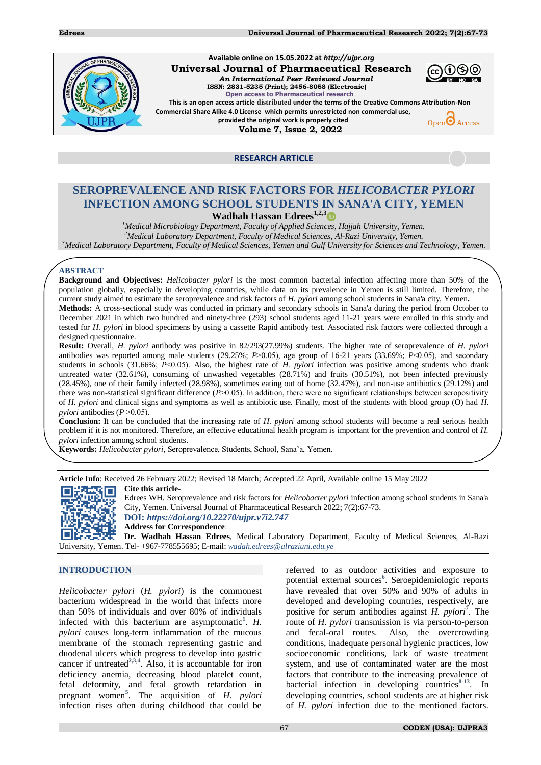

# **RESEARCH ARTICLE**

# **SEROPREVALENCE AND RISK FACTORS FOR** *HELICOBACTER PYLORI*  **INFECTION AMONG SCHOOL STUDENTS IN SANA'A CITY, YEMEN Wadhah Hassan Edrees1,2,3**

*<sup>1</sup>Medical Microbiology Department, Faculty of Applied Sciences, Hajjah University, Yemen. <sup>2</sup>Medical Laboratory Department, Faculty of Medical Sciences, Al-Razi University, Yemen. <sup>3</sup>Medical Laboratory Department, Faculty of Medical Sciences, Yemen and Gulf University for Sciences and Technology, Yemen.*

# **ABSTRACT**

**Background and Objectives:** *Helicobacter pylori* is the most common bacterial infection affecting more than 50% of the population globally, especially in developing countries, while data on its prevalence in Yemen is still limited. Therefore, the current study aimed to estimate the seroprevalence and risk factors of *H. pylori* among school students in Sana'a city, Yemen**.**

**Methods:** A cross-sectional study was conducted in primary and secondary schools in Sana'a during the period from October to December 2021 in which two hundred and ninety-three (293) school students aged 11-21 years were enrolled in this study and tested for *H. pylori* in blood specimens by using a cassette Rapid antibody test. Associated risk factors were collected through a designed questionnaire.

**Result:** Overall, *H. pylori* antibody was positive in 82/293(27.99%) students. The higher rate of seroprevalence of *H. pylori* antibodies was reported among male students (29.25%;  $P > 0.05$ ), age group of 16-21 years (33.69%;  $P < 0.05$ ), and secondary students in schools (31.66%; *P*˂0.05). Also, the highest rate of *H. pylori* infection was positive among students who drank untreated water (32.61%), consuming of unwashed vegetables (28.71%) and fruits (30.51%), not been infected previously (28.45%), one of their family infected (28.98%), sometimes eating out of home (32.47%), and non-use antibiotics (29.12%) and there was non-statistical significant difference (*P*>0.05). In addition, there were no significant relationships between seropositivity of *H. pylori* and clinical signs and symptoms as well as antibiotic use. Finally, most of the students with blood group (O) had *H. pylori* antibodies  $(P > 0.05)$ .

**Conclusion:** It can be concluded that the increasing rate of *H. pylori* among school students will become a real serious health problem if it is not monitored. Therefore, an effective educational health program is important for the prevention and control of *H. pylori* infection among school students.

**Keywords:** *Helicobacter pylori*, Seroprevalence, Students, School, Sana'a, Yemen.

**Article Info**: Received 26 February 2022; Revised 18 March; Accepted 22 April, Available online 15 May 2022

# 化水相口

Edrees WH. Seroprevalence and risk factors for *Helicobacter pylori* infection among school students in Sana'a City, Yemen. Universal Journal of Pharmaceutical Research 2022; 7(2):67-73. **DOI:** *<https://doi.org/10.22270/ujpr.v7i2.747>*

**Address for Correspondence**:

**Cite this article-**

**Dr. Wadhah Hassan Edrees**, Medical Laboratory Department, Faculty of Medical Sciences, Al-Razi University, Yemen. Tel- +967-778555695; E-mail: *[wadah.edrees@alraziuni.edu.ye](mailto:wadah.edrees@alraziuni.edu.ye)*

# **INTRODUCTION**

*Helicobacter pylori* (*H. pylori*) is the commonest bacterium widespread in the world that infects more than 50% of individuals and over 80% of individuals infe[c](#page-4-0)ted with this bacterium are asymptomatic<sup>1</sup>. *H*. *pylori* causes long-term inflammation of the mucous membrane of the stomach representing gastric and duodenal ulcers which progress to develop into gastric cancer if untreated<sup> $2,3,4$  $2,3,4$  $2,3,4$ </sup>. Also, it is accountable for iron deficiency anemia, decreasing blood platelet count, fetal deformity, and fetal growth retardation in pregnant women**<sup>5</sup>** [.](#page-4-4) The acquisition of *H. pylori* infection rises often during childhood that could be

referred to as outdoor activities and exposure to potential external source[s](#page-4-5)**<sup>6</sup>** . Seroepidemiologic reports have revealed that over 50% and 90% of adults in developed and developing countries, respectively, are positive for serum antibodies against *H. pylor[i](#page-4-6)***<sup>7</sup>** . The route of *H. pylori* transmission is via person-to-person and fecal-oral routes. Also, the overcrowding conditions, inadequate personal hygienic practices, low socioeconomic conditions, lack of waste treatment system, and use of contaminated water are the most factors that contribute to the increasing prevalence of bacterial infection in developing countries**[8](#page-4-7)[-13](#page-5-0)** . In developing countries, school students are at higher risk of *H. pylori* infection due to the mentioned factors.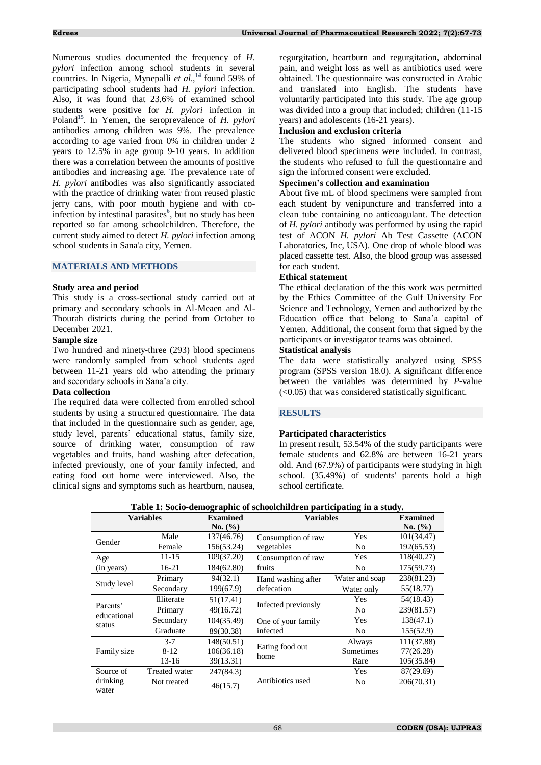Numerous studies documented the frequency of *H. pylori* infection among school students in several countries. In Nigeria, Mynepalli *et al*., **[14](#page-5-1)** found 59% of participating school students had *H. pylori* infection. Also, it was found that 23.6% of examined school students were positive for *H. pylori* infection in Poland**[15](#page-5-2)** . In Yemen, the seroprevalence of *H. pylori* antibodies among children was 9%. The prevalence according to age varied from 0% in children under 2 years to 12.5% in age group 9-10 years. In addition there was a correlation between the amounts of positive antibodies and increasing age. The prevalence rate of *H. pylori* antibodies was also significantly associated with the practice of drinking water from reused plastic jerry cans, with poor mouth hygiene and with coinfection by intestinal parasite[s](#page-4-5)**<sup>6</sup>** , but no study has been reported so far among schoolchildren. Therefore, the current study aimed to detect *H. pylori* infection among school students in Sana'a city, Yemen.

# **MATERIALS AND METHODS**

### **Study area and period**

This study is a cross-sectional study carried out at primary and secondary schools in Al-Meaen and Al-Thourah districts during the period from October to December 2021.

### **Sample size**

Two hundred and ninety-three (293) blood specimens were randomly sampled from school students aged between 11-21 years old who attending the primary and secondary schools in Sana'a city.

### **Data collection**

The required data were collected from enrolled school students by using a structured questionnaire. The data that included in the questionnaire such as gender, age, study level, parents' educational status, family size, source of drinking water, consumption of raw vegetables and fruits, hand washing after defecation, infected previously, one of your family infected, and eating food out home were interviewed. Also, the clinical signs and symptoms such as heartburn, nausea,

regurgitation, heartburn and regurgitation, abdominal pain, and weight loss as well as antibiotics used were obtained. The questionnaire was constructed in Arabic and translated into English. The students have voluntarily participated into this study. The age group was divided into a group that included; children (11-15 years) and adolescents (16-21 years).

### **Inclusion and exclusion criteria**

The students who signed informed consent and delivered blood specimens were included. In contrast, the students who refused to full the questionnaire and sign the informed consent were excluded.

# **Specimen's collection and examination**

About five mL of blood specimens were sampled from each student by venipuncture and transferred into a clean tube containing no anticoagulant. The detection of *H. pylori* antibody was performed by using the rapid test of ACON *H. pylori* Ab Test Cassette (ACON Laboratories, Inc, USA). One drop of whole blood was placed cassette test. Also, the blood group was assessed for each student.

### **Ethical statement**

The ethical declaration of the this work was permitted by the Ethics Committee of the Gulf University For Science and Technology, Yemen and authorized by the Education office that belong to Sana'a capital of Yemen. Additional, the consent form that signed by the participants or investigator teams was obtained.

### **Statistical analysis**

The data were statistically analyzed using SPSS program (SPSS version 18.0). A significant difference between the variables was determined by *P*-value (<0.05) that was considered statistically significant.

# **RESULTS**

# **Participated characteristics**

In present result, 53.54% of the study participants were female students and 62.8% are between 16-21 years old. And (67.9%) of participants were studying in high school. (35.49%) of students' parents hold a high school certificate.

| raoic repoció acuiographic or schoolchilaren participating in a staa je |               |                 |                                           |                |                 |
|-------------------------------------------------------------------------|---------------|-----------------|-------------------------------------------|----------------|-----------------|
| <b>Variables</b>                                                        |               | <b>Examined</b> | <b>Variables</b>                          |                | <b>Examined</b> |
|                                                                         |               | No. $(\% )$     |                                           |                | No. (%)         |
| Gender                                                                  | Male          | 137(46.76)      | Consumption of raw                        | Yes            | 101(34.47)      |
|                                                                         | Female        | 156(53.24)      | vegetables                                | No             | 192(65.53)      |
| Age                                                                     | $11 - 15$     | 109(37.20)      | Consumption of raw                        | Yes            | 118(40.27)      |
| (in years)                                                              | 16-21         | 184(62.80)      | fruits                                    | No             | 175(59.73)      |
| Study level                                                             | Primary       | 94(32.1)        | Hand washing after<br>defecation          | Water and soap | 238(81.23)      |
|                                                                         | Secondary     | 199(67.9)       |                                           | Water only     | 55(18.77)       |
| Parents'<br>educational<br>status                                       | Illiterate    | 51(17.41)       | Infected previously<br>One of your family | Yes            | 54(18.43)       |
|                                                                         | Primary       | 49(16.72)       |                                           | N <sub>0</sub> | 239(81.57)      |
|                                                                         | Secondary     | 104(35.49)      |                                           | Yes            | 138(47.1)       |
|                                                                         | Graduate      | 89(30.38)       | infected                                  | No             | 155(52.9)       |
| Family size                                                             | $3-7$         | 148(50.51)      | Eating food out<br>home                   | Always         | 111(37.88)      |
|                                                                         | $8-12$        | 106(36.18)      |                                           | Sometimes      | 77(26.28)       |
|                                                                         | 13-16         | 39(13.31)       |                                           | Rare           | 105(35.84)      |
| Source of                                                               | Treated water | 247(84.3)       |                                           | Yes            | 87(29.69)       |
| drinking<br>water                                                       | Not treated   | 46(15.7)        | Antibiotics used                          | N <sub>0</sub> | 206(70.31)      |

### **Table 1: Socio-demographic of schoolchildren participating in a study.**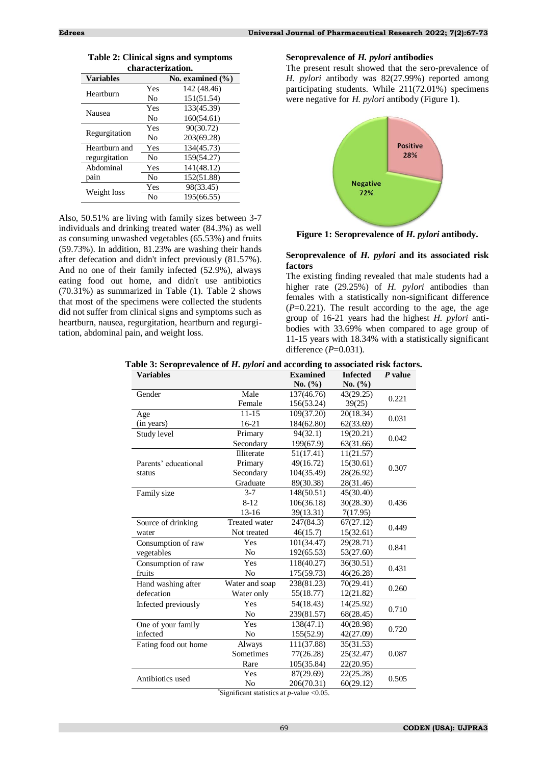| Table 2: Clinical signs and symptoms |
|--------------------------------------|
| characterization.                    |

| UHAI AUUTI IZAUUII. |     |                      |  |  |  |
|---------------------|-----|----------------------|--|--|--|
| <b>Variables</b>    |     | No. examined $(\% )$ |  |  |  |
| Hearthurn           | Yes | 142 (48.46)          |  |  |  |
|                     | No  | 151(51.54)           |  |  |  |
|                     | Yes | 133(45.39)           |  |  |  |
| Nausea              | No  | 160(54.61)           |  |  |  |
|                     | Yes | 90(30.72)            |  |  |  |
| Regurgitation       | No  | 203(69.28)           |  |  |  |
| Hearthurn and       | Yes | 134(45.73)           |  |  |  |
| regurgitation       | No  | 159(54.27)           |  |  |  |
| Abdominal           | Yes | 141(48.12)           |  |  |  |
| pain                | No  | 152(51.88)           |  |  |  |
|                     | Yes | 98(33.45)            |  |  |  |
| Weight loss         | No  | 195(66.55)           |  |  |  |

Also, 50.51% are living with family sizes between 3-7 individuals and drinking treated water (84.3%) as well as consuming unwashed vegetables (65.53%) and fruits (59.73%). In addition, 81.23% are washing their hands after defecation and didn't infect previously (81.57%). And no one of their family infected (52.9%), always eating food out home, and didn't use antibiotics (70.31%) as summarized in Table (1). Table 2 shows that most of the specimens were collected the students did not suffer from clinical signs and symptoms such as heartburn, nausea, regurgitation, heartburn and regurgitation, abdominal pain, and weight loss.

### **Seroprevalence of** *H. pylori* **antibodies**

The present result showed that the sero-prevalence of *H. pylori* antibody was 82(27.99%) reported among participating students. While 211(72.01%) specimens were negative for *H. pylori* antibody (Figure 1).



**Figure 1: Seroprevalence of** *H. pylori* **antibody.**

# **Seroprevalence of** *H. pylori* **and its associated risk factors**

The existing finding revealed that male students had a higher rate (29.25%) of *H. pylori* antibodies than females with a statistically non-significant difference  $(P=0.221)$ . The result according to the age, the age group of 16-21 years had the highest *H. pylori* antibodies with 33.69% when compared to age group of 11-15 years with 18.34% with a statistically significant difference (*P*=0.031).

| <b>Variables</b>     |                   | <b>Examined</b><br>No. $(\% )$ | <b>Infected</b><br>No. (%) | $P$ value |  |
|----------------------|-------------------|--------------------------------|----------------------------|-----------|--|
| Gender               | Male              | 137(46.76)                     | 43(29.25)                  | 0.221     |  |
|                      | Female            | 156(53.24)                     | 39(25)                     |           |  |
| Age                  | $11 - 15$         | 109(37.20)                     | 20(18.34)                  | 0.031     |  |
| (in years)           | $16-21$           | 184(62.80)                     | 62(33.69)                  |           |  |
| Study level          | Primary           | 94(32.1)                       | 19(20.21)                  | 0.042     |  |
|                      | Secondary         | 199(67.9)                      | 63(31.66)                  |           |  |
|                      | <b>Illiterate</b> | 51(17.41)                      | 11(21.57)                  |           |  |
| Parents' educational | Primary           | 49(16.72)                      | 15(30.61)                  | 0.307     |  |
| status               | Secondary         | 104(35.49)                     | 28(26.92)                  |           |  |
|                      | Graduate          | 89(30.38)                      | 28(31.46)                  |           |  |
| Family size          | $3 - 7$           | 148(50.51)                     | 45(30.40)                  |           |  |
|                      | $8 - 12$          | 106(36.18)                     | 30(28.30)                  | 0.436     |  |
|                      | $13-16$           | 39(13.31)                      | 7(17.95)                   |           |  |
| Source of drinking   | Treated water     | 247(84.3)                      | 67(27.12)                  |           |  |
| water                | Not treated       | 46(15.7)                       | 15(32.61)                  | 0.449     |  |
| Consumption of raw   | Yes               | 101(34.47)                     | 29(28.71)                  | 0.841     |  |
| vegetables           | N <sub>o</sub>    | 192(65.53)                     | 53(27.60)                  |           |  |
| Consumption of raw   | Yes               | 118(40.27)                     | 36(30.51)                  |           |  |
| fruits               | N <sub>o</sub>    | 175(59.73)                     | 46(26.28)                  | 0.431     |  |
| Hand washing after   | Water and soap    | 238(81.23)                     | 70(29.41)                  |           |  |
| defecation           | Water only        | 55(18.77)                      | 12(21.82)                  | 0.260     |  |
| Infected previously  | Yes               | 54(18.43)                      | 14(25.92)                  |           |  |
|                      | No                | 239(81.57)                     | 68(28.45)                  | 0.710     |  |
| One of your family   | Yes               | 138(47.1)                      | 40(28.98)                  | 0.720     |  |
| infected             | N <sub>o</sub>    | 155(52.9)                      | 42(27.09)                  |           |  |
| Eating food out home | Always            | 111(37.88)                     | 35(31.53)                  |           |  |
|                      | Sometimes         | 77(26.28)                      | 25(32.47)                  | 0.087     |  |
|                      | Rare              | 105(35.84)                     | 22(20.95)                  |           |  |
| Antibiotics used     | Yes               | 87(29.69)                      | 22(25.28)                  |           |  |
|                      | N <sub>o</sub>    | 206(70.31)                     | 60(29.12)                  | 0.505     |  |

### **Table 3: Seroprevalence of** *H. pylori* **and according to associated risk factors.**

\* Significant statistics at *p*-value <0.05.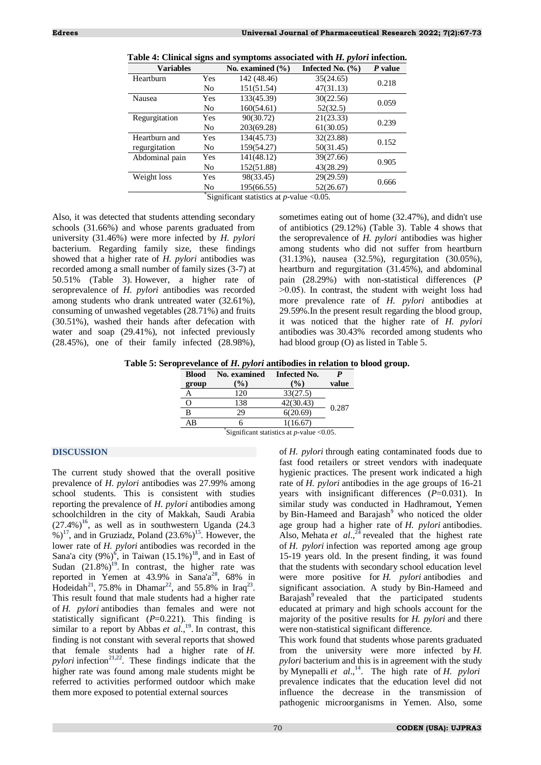| <b>Variables</b>                                                 |     | No. examined $(\% )$ | Infected No. $(\% )$ | P value |
|------------------------------------------------------------------|-----|----------------------|----------------------|---------|
| Hearthurn                                                        | Yes | 142 (48.46)          | 35(24.65)            | 0.218   |
|                                                                  | No  | 151(51.54)           | 47(31.13)            |         |
| Nausea                                                           | Yes | 133(45.39)           | 30(22.56)            | 0.059   |
|                                                                  | No  | 160(54.61)           | 52(32.5)             |         |
| Regurgitation                                                    | Yes | 90(30.72)            | 21(23.33)            | 0.239   |
|                                                                  | No  | 203(69.28)           | 61(30.05)            |         |
| Heartburn and                                                    | Yes | 134(45.73)           | 32(23.88)            | 0.152   |
| regurgitation                                                    | No  | 159(54.27)           | 50(31.45)            |         |
| Abdominal pain                                                   | Yes | 141(48.12)           | 39(27.66)            | 0.905   |
|                                                                  | No  | 152(51.88)           | 43(28.29)            |         |
| Weight loss                                                      | Yes | 98(33.45)            | 29(29.59)            | 0.666   |
|                                                                  | No  | 195(66.55)           | 52(26.67)            |         |
| Significant statistics at <i>n</i> -value $\langle 0.05 \rangle$ |     |                      |                      |         |

51gn11c nt statistics at  $p$ -value <0.05.

Also, it was detected that students attending secondary schools (31.66%) and whose parents graduated from university (31.46%) were more infected by *H. pylori* bacterium. Regarding family size, these findings showed that a higher rate of *H. pylori* antibodies was recorded among a small number of family sizes (3-7) at 50.51% (Table 3). However, a higher rate of seroprevalence of *H. pylori* antibodies was recorded among students who drank untreated water (32.61%), consuming of unwashed vegetables (28.71%) and fruits (30.51%), washed their hands after defecation with water and soap (29.41%), not infected previously (28.45%), one of their family infected (28.98%), sometimes eating out of home (32.47%), and didn't use of antibiotics (29.12%) (Table 3). Table 4 shows that the seroprevalence of *H. pylori* antibodies was higher among students who did not suffer from heartburn (31.13%), nausea (32.5%), regurgitation (30.05%), heartburn and regurgitation (31.45%), and abdominal pain (28.29%) with non-statistical differences (*P*  $>0.05$ ). In contrast, the student with weight loss had more prevalence rate of *H. pylori* antibodies at 29.59%.In the present result regarding the blood group, it was noticed that the higher rate of *H. pylori* antibodies was 30.43% recorded among students who had blood group (O) as listed in Table 5.

**Table 5: Seroprevelance of** *H. pylori* **antibodies in relation to blood group.**

| <b>Blood</b>                                         | No. examined  | Infected No.  |       |  |
|------------------------------------------------------|---------------|---------------|-------|--|
| group                                                | $\frac{1}{2}$ | $\frac{9}{6}$ | value |  |
| A                                                    | 120           | 33(27.5)      |       |  |
|                                                      | 138           | 42(30.43)     | 0.287 |  |
| B                                                    | 29            | 6(20.69)      |       |  |
| ΑB                                                   |               | 1(16.67)      |       |  |
| $^{\circ}$ Cianificant statistics at a value $>0.05$ |               |               |       |  |

\* Significant statistics at *p*-value <0.05.

### **DISCUSSION**

The current study showed that the overall positive prevalence of *H. pylori* antibodies was 27.99% among school students. This is consistent with studies reporting the prevalence of *H. pylori* antibodies among schoolchildren in the city of Makkah, Saudi Arabia  $(27.4\%)$ <sup>[16](#page-5-3)</sup>, as well as in southwestern Uganda (24.3) %)**[17](#page-5-4)**, and in Gruziadz, Poland (23.6%)**[15](#page-5-2)** . However, the lower rate of *H. pylori* antibodies was recorded in the Sana'a city  $(9\%)^6$ [,](#page-4-5) in Taiwan  $(15.1\%)^{18}$  $(15.1\%)^{18}$  $(15.1\%)^{18}$ , and in East of Sudan  $(21.8\%)^{19}$  $(21.8\%)^{19}$  $(21.8\%)^{19}$ . In contrast, the higher rate was reported in Yemen at 43.9% in Sana'a<sup>[20](#page-5-7)</sup>, 68% in Hodeidah<sup>[21](#page-5-8)</sup>, 75.8% in Dhamar<sup>[22](#page-5-9)</sup>, and 55.8% in Iraq<sup>[23](#page-5-10)</sup>. This result found that male students had a higher rate of *H. pylori* antibodies than females and were not statistically significant (*P*=0.221). This finding is similar to a report by Abbas *et al.*,<sup>[19](#page-5-6)</sup>. In contrast, this finding is not constant with several reports that showed that female students had a higher rate of *H. pylori* infection**[21,](#page-5-8)[22](#page-5-9)** . These findings indicate that the higher rate was found among male students might be referred to activities performed outdoor which make them more exposed to potential external sources

of *H. pylori* through eating contaminated foods due to fast food retailers or street vendors with inadequate hygienic practices. The present work indicated a high rate of *H. pylori* antibodies in the age groups of 16-21 years with insignificant differences (*P*=0.031). In similar study was conducted in Hadhramout, Yemen by Bin-Hameed and Barajas[h](#page-4-8)<sup>9</sup> who noticed the older age group had a higher rate of *H. pylori* antibodies. Also, Mehata *et al.*, $^{24}$  $^{24}$  $^{24}$  revealed that the highest rate of *H. pylori* infection was reported among age group 15-19 years old. In the present finding, it was found that the students with secondary school education level were more positive for *H. pylori* antibodies and significant association. A study by Bin-Hameed and Barajas[h](#page-4-8)<sup>9</sup> revealed that the participated students educated at primary and high schools account for the majority of the positive results for *H. pylori* and there were non-statistical significant difference.

This work found that students whose parents graduated from the university were more infected by *H. pylori* bacterium and this is in agreement with the study by Mynepalli *et al*., **[14](#page-5-1)** . The high rate of *H. pylori* prevalence indicates that the education level did not influence the decrease in the transmission of pathogenic microorganisms in Yemen. Also, some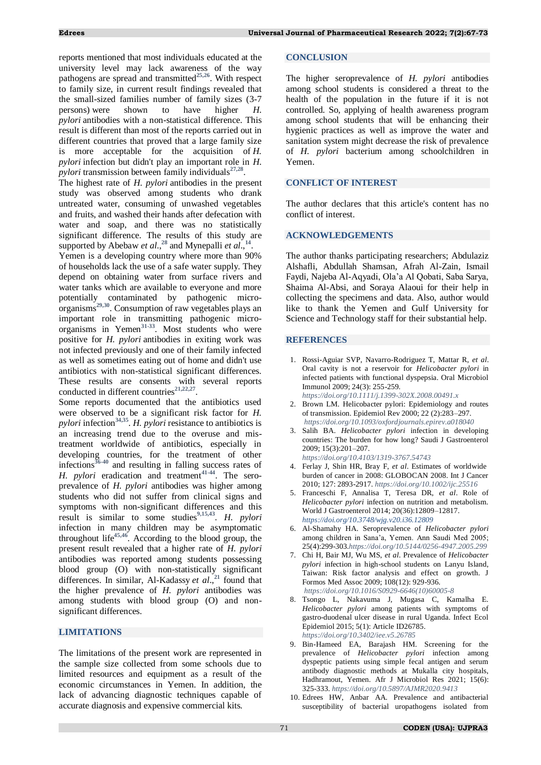reports mentioned that most individuals educated at the university level may lack awareness of the way pathogens are spread and transmitted<sup>[25,](#page-5-12)[26](#page-5-13)</sup>. With respect to family size, in current result findings revealed that the small-sized families number of family sizes (3-7 persons) were shown to have higher *H. pylori* antibodies with a non-statistical difference. This result is different than most of the reports carried out in different countries that proved that a large family size is more acceptable for the acquisition of *H. pylori* infection but didn't play an important role in *H. pylori* transmission between family individuals**[27,](#page-5-14)[28](#page-5-15)** .

The highest rate of *H. pylori* antibodies in the present study was observed among students who drank untreated water, consuming of unwashed vegetables and fruits, and washed their hands after defecation with water and soap, and there was no statistically significant difference. The results of this study are supported by Abebaw *et al*., **[28](#page-5-15)** and Mynepalli *et al*., **[14](#page-5-1)** .

Yemen is a developing country where more than 90% of households lack the use of a safe water supply. They depend on obtaining water from surface rivers and water tanks which are available to everyone and more potentially contaminated by pathogenic microorganisms**[29,](#page-5-16)[30](#page-5-17)**. Consumption of raw vegetables plays an important role in transmitting pathogenic microorganisms in Yemen**[31](#page-5-18)[-33](#page-5-19)** . Most students who were positive for *H. pylori* antibodies in exiting work was not infected previously and one of their family infected as well as sometimes eating out of home and didn't use antibiotics with non-statistical significant differences. These results are consents with several reports conducted in different countries**[21,](#page-5-8)[22,](#page-5-9)[27](#page-5-14)** .

Some reports documented that the antibiotics used were observed to be a significant risk factor for *H. pylori* infection**[34](#page-5-20)[,35](#page-5-21)** . *H. pylori* resistance to antibiotics is an increasing trend due to the overuse and mistreatment worldwide of antibiotics, especially in developing countries, for the treatment of other infections**[36](#page-5-22)[-40](#page-5-23)** and resulting in falling success rates of *H. pylori* eradication and treatment<sup>[41](#page-5-24)[-44](#page-6-0)</sup>. The seroprevalence of *H. pylori* antibodies was higher among students who did not suffer from clinical signs and symptoms with non-significant differences and this result is similar to some studies**[9,](#page-4-8)[15,](#page-5-2)[43](#page-6-1)** . *H. pylori* infection in many children may be asymptomatic throughout life**[45,](#page-6-2)[46](#page-6-3)** . According to the blood group, the present result revealed that a higher rate of *H. pylori* antibodies was reported among students possessing blood group (O) with non-statistically significant differences. In similar, Al-Kadassy *et al*., **[21](#page-5-8)** found that the higher prevalence of *H. pylori* antibodies was among students with blood group (O) and nonsignificant differences.

# **LIMITATIONS**

The limitations of the present work are represented in the sample size collected from some schools due to limited resources and equipment as a result of the economic circumstances in Yemen. In addition, the lack of advancing diagnostic techniques capable of accurate diagnosis and expensive commercial kits.

### **CONCLUSION**

The higher seroprevalence of *H. pylori* antibodies among school students is considered a threat to the health of the population in the future if it is not controlled. So, applying of health awareness program among school students that will be enhancing their hygienic practices as well as improve the water and sanitation system might decrease the risk of prevalence of *H. pylori* bacterium among schoolchildren in Yemen.

## **CONFLICT OF INTEREST**

The author declares that this article's content has no conflict of interest.

### **ACKNOWLEDGEMENTS**

The author thanks participating researchers; Abdulaziz Alshafli, Abdullah Shamsan, Afrah Al-Zain, Ismail Faydi, Najeba Al-Aqyadi, Ola'a Al Qobati, Saba Sarya, Shaima Al-Absi, and Soraya Alaoui for their help in collecting the specimens and data. Also, author would like to thank the Yemen and Gulf University for Science and Technology staff for their substantial help.

### **REFERENCES**

- <span id="page-4-0"></span>1. Rossi-Aguiar SVP, Navarro-Rodriguez T, Mattar R, *et al*. Oral cavity is not a reservoir for *Helicobacter pylori* in infected patients with functional dyspepsia. Oral Microbiol Immunol 2009; 24(3): 255-259. *<https://doi.org/10.1111/j.1399-302X.2008.00491.x>*
- 
- <span id="page-4-1"></span>2. Brown LM. Helicobacter pylori: Epidemiology and routes of transmission. Epidemiol Rev 2000; 22 (2):283–297. *<https://doi.org/10.1093/oxfordjournals.epirev.a018040>*
- <span id="page-4-2"></span>3. Salih BA. *Helicobacter pylori* infection in developing countries: The burden for how long? Saudi J Gastroenterol 2009; 15(3):201–207. *<https://doi.org/10.4103/1319-3767.54743>*
- <span id="page-4-3"></span>4. Ferlay J, Shin HR, Bray F, *et al*. Estimates of worldwide burden of cancer in 2008: GLOBOCAN 2008. Int J Cancer 2010; 127: 2893-2917. *<https://doi.org/10.1002/ijc.25516>*
- <span id="page-4-4"></span>5. Franceschi F, Annalisa T, Teresa DR, *et al*. Role of *Helicobacter pylori* infection on nutrition and metabolism. World J Gastroenterol 2014; 20(36):12809–12817. *<https://doi.org/10.3748/wjg.v20.i36.12809>*
- <span id="page-4-5"></span>6. Al-Shamahy HA. Seroprevalence of *Helicobacter pylori*  among children in Sana'a, Yemen. Ann Saudi Med 2005; 25(4):299-303.*<https://doi.org/10.5144/0256-4947.2005.299>*
- <span id="page-4-6"></span>7. Chi H, Bair MJ, Wu MS, *et al*. Prevalence of *Helicobacter pylori* infection in high-school students on Lanyu Island, Taiwan: Risk factor analysis and effect on growth. J Formos Med Assoc 2009; 108(12): 929-936. *[https://doi.org/10.1016/S0929-6646\(10\)60005-8](https://doi.org/10.1016/S0929-6646(10)60005-8)*
- <span id="page-4-7"></span>8. Tsongo L, Nakavuma J, Mugasa C, Kamalha E. *Helicobacter pylori* among patients with symptoms of gastro-duodenal ulcer disease in rural Uganda. Infect Ecol Epidemiol 2015; 5(1): Article ID26785. *<https://doi.org/10.3402/iee.v5.26785>*
- <span id="page-4-8"></span>9. Bin-Hameed EA, Barajash HM. Screening for the prevalence of *Helicobacter pylori* infection among dyspeptic patients using simple fecal antigen and serum antibody diagnostic methods at Mukalla city hospitals, Hadhramout, Yemen. Afr J Microbiol Res 2021; 15(6): 325-333. *<https://doi.org/10.5897/AJMR2020.9413>*
- 10. Edrees HW, Anbar AA. Prevalence and antibacterial susceptibility of bacterial uropathogens isolated from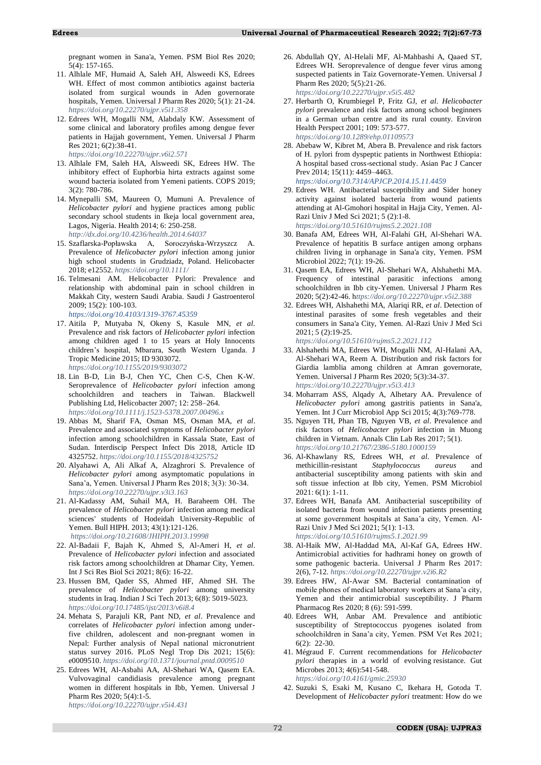<span id="page-5-2"></span>pregnant women in Sana'a, Yemen. PSM Biol Res 2020; 5(4): 157-165.

- 11. Alhlale MF, Humaid A, Saleh AH, Alsweedi KS, Edrees WH. Effect of most common antibiotics against bacteria isolated from surgical wounds in Aden governorate hospitals, Yemen. Universal J Pharm Res 2020; 5(1): 21-24. *<https://doi.org/10.22270/ujpr.v5i1.358>*
- 12. Edrees WH, Mogalli NM, Alabdaly KW. Assessment of some clinical and laboratory profiles among dengue fever patients in Hajjah government, Yemen. Universal J Pharm Res 2021; 6(2):38-41.

*<https://doi.org/10.22270/ujpr.v6i2.571>*

- <span id="page-5-0"></span>13. Alhlale FM, Saleh HA, Alsweedi SK, Edrees HW. The inhibitory effect of Euphorbia hirta extracts against some wound bacteria isolated from Yemeni patients. COPS 2019; 3(2): 780-786.
- <span id="page-5-1"></span>14. Mynepalli SM, Maureen O, Mumuni A. Prevalence of *Helicobacter pylori* and hygiene practices among public secondary school students in Ikeja local government area, Lagos, Nigeria. Health 2014; 6: 250-258. *[http://dx.doi.org/10.4236/health.2014.64037](https://doi.org/10.4236/health.2014.64037)*
- 15. Szaflarska-Popławska A, Soroczyńska-Wrzyszcz A. Prevalence of *Helicobacter pylori* infection among junior high school students in Grudziadz, Poland. Helicobacter 2018; e12552. *<https://doi.org/10.1111/>*
- <span id="page-5-3"></span>16. Telmesani AM. Helicobacter Pylori: Prevalence and relationship with abdominal pain in school children in Makkah City, western Saudi Arabia. Saudi J Gastroenterol 2009; 15(2): 100-103.

*<https://doi.org/10.4103/1319-3767.45359>*

- <span id="page-5-4"></span>17. Aitila P, Mutyaba N, Okeny S, Kasule MN, *et al*. Prevalence and risk factors of *Helicobacter pylori* infection among children aged 1 to 15 years at Holy Innocents children's hospital, Mbarara, South Western Uganda. J Tropic Medicine 2015; ID 9303072. *<https://doi.org/10.1155/2019/9303072>*
- <span id="page-5-5"></span>18. Lin B-D, Lin B-J, Chen YC, Chen C-S, Chen K-W. Seroprevalence of *Helicobacter pylori* infection among schoolchildren and teachers in Taiwan. Blackwell Publishing Ltd, Helicobacter 2007; 12: 258–264. *<https://doi.org/10.1111/j.1523-5378.2007.00496.x>*
- <span id="page-5-6"></span>19. Abbas M, Sharif FA, Osman MS, Osman MA, *et al*. Prevalence and associated symptoms of *Helicobacter pylori*  infection among schoolchildren in Kassala State, East of Sudan. Interdiscip Perspect Infect Dis 2018, Article ID 4325752. *<https://doi.org/10.1155/2018/4325752>*
- <span id="page-5-7"></span>20. Alyahawi A, Ali Alkaf A, Alzaghrori S. Prevalence of *Helicobacter pylori* among asymptomatic populations in Sana'a, Yemen. Universal J Pharm Res 2018; 3(3): 30-34. *<https://doi.org/10.22270/ujpr.v3i3.163>*
- <span id="page-5-8"></span>21. Al-Kadassy AM, Suhail MA, H. Baraheem OH. The prevalence of *Helicobacter pylori* infection among medical sciences' students of Hodeidah University-Republic of Yemen. Bull HIPH. 2013; 43(1):121-126. *<https://doi.org/10.21608/JHIPH.2013.19998>*
- <span id="page-5-9"></span>22. Al-Badaii F, Bajah K, Ahmed S, Al-Ameri H, *et al*. Prevalence of *Helicobacter pylori* infection and associated risk factors among schoolchildren at Dhamar City, Yemen. Int J Sci Res Biol Sci 2021; 8(6): 16-22.
- <span id="page-5-10"></span>23. Hussen BM, Qader SS, Ahmed HF, Ahmed SH. The prevalence of *Helicobacter pylori* among university students in Iraq. Indian J Sci Tech 2013; 6(8): 5019-5023. *<https://doi.org/10.17485/ijst/2013/v6i8.4>*
- <span id="page-5-11"></span>24. Mehata S, Parajuli KR, Pant ND, *et al*. Prevalence and correlates of *Helicobacter pylori* infection among underfive children, adolescent and non-pregnant women in Nepal: Further analysis of Nepal national micronutrient status survey 2016. PLoS Negl Trop Dis 2021; 15(6): e0009510. *<https://doi.org/10.1371/journal.pntd.0009510>*
- <span id="page-5-12"></span>25. Edrees WH, Al-Asbahi AA, Al-Shehari WA, Qasem EA. Vulvovaginal candidiasis prevalence among pregnant women in different hospitals in Ibb, Yemen. Universal J Pharm Res 2020; 5(4):1-5. *<https://doi.org/10.22270/ujpr.v5i4.431>*
- <span id="page-5-13"></span>26. Abdullah QY, Al-Helali MF, Al-Mahbashi A, Qaaed ST, Edrees WH. Seroprevalence of dengue fever virus among suspected patients in Taiz Governorate-Yemen. Universal J Pharm Res 2020; 5(5):21-26. *<https://doi.org/10.22270/ujpr.v5i5.482>*
- <span id="page-5-14"></span>27. Herbarth O, Krumbiegel P, Fritz GJ, *et al*. *Helicobacter pylori* prevalence and risk factors among school beginners in a German urban centre and its rural county. Environ Health Perspect 2001; 109: 573-577. *<https://doi.org/10.1289/ehp.01109573>*
- <span id="page-5-15"></span>28. Abebaw W, Kibret M, Abera B. Prevalence and risk factors of H. pylori from dyspeptic patients in Northwest Ethiopia: A hospital based cross-sectional study. Asian Pac J Cancer Prev 2014; 15(11): 4459-4463. *<https://doi.org/10.7314/APJCP.2014.15.11.4459>*
- <span id="page-5-16"></span>29. Edrees WH. Antibacterial susceptibility and Sider honey activity against isolated bacteria from wound patients attending at Al-Gmohori hospital in Hajja City, Yemen. Al-Razi Univ J Med Sci 2021; 5 (2):1-8. *<https://doi.org/10.51610/rujms5.2.2021.108>*
- <span id="page-5-17"></span>30. Banafa AM, Edrees WH, Al-Falahi GH, Al-Shehari WA. Prevalence of hepatitis B surface antigen among orphans children living in orphanage in Sana'a city, Yemen. PSM Microbiol 2022; 7(1): 19-26.
- <span id="page-5-18"></span>31. Qasem EA, Edrees WH, Al-Shehari WA, Alshahethi MA. Frequency of intestinal parasitic infections among schoolchildren in Ibb city-Yemen. Universal J Pharm Res 2020; 5(2):42-46. h*[ttps://doi.org/10.22270/ujpr.v5i2.388](https://doi.org/10.22270/ujpr.v5i2.388)*
- 32. Edrees WH, Alshahethi MA, Alariqi RR, *et al*. Detection of intestinal parasites of some fresh vegetables and their consumers in Sana'a City, Yemen. Al-Razi Univ J Med Sci 2021; 5 (2):19-25. *<https://doi.org/10.51610/rujms5.2.2021.112>*
- <span id="page-5-19"></span>33. Alshahethi MA, Edrees WH, Mogalli NM, Al-Halani AA, Al-Shehari WA, Reem A. Distribution and risk factors for Giardia lamblia among children at Amran governorate, Yemen. Universal J Pharm Res 2020; 5(3):34-37. *<https://doi.org/10.22270/ujpr.v5i3.413>*
- <span id="page-5-20"></span>34. Moharram ASS, Alqady A, Alhetary AA. Prevalence of *Helicobacter pylori* among gastritis patients in Sana'a, Yemen. Int J Curr Microbiol App Sci 2015; 4(3):769-778.
- <span id="page-5-21"></span>35. Nguyen TH, Phan TB, Nguyen VB, *et al*. Prevalence and risk factors of *Helicobacter pylori* infection in Muong children in Vietnam. Annals Clin Lab Res 2017; 5(1). *[https://doi.org/10.21767/2386-5180.1000159](https://doi.org/10.21767/2386-5180.1000159���)*
- <span id="page-5-22"></span>36. Al-Khawlany RS, Edrees WH, *et al*. Prevalence of methicillin-resistant *Staphylococcus aureus* and antibacterial susceptibility among patients with skin and soft tissue infection at Ibb city, Yemen. PSM Microbiol 2021: 6(1): 1-11.
- 37. Edrees WH, Banafa AM. Antibacterial susceptibility of isolated bacteria from wound infection patients presenting at some government hospitals at Sana'a city, Yemen. Al-Razi Univ J Med Sci 2021; 5(1): 1-13. *<https://doi.org/10.51610/rujms5.1.2021.99>*
- 38. Al-Haik MW, Al-Haddad MA, Al-Kaf GA, Edrees HW. Antimicrobial activities for hadhrami honey on growth of some pathogenic bacteria. Universal J Pharm Res 2017: 2(6), 7-12. *[https://doi.org/10.22270/ujpr.v2i6.R2](https://doi.org/10.22270/ujpr.v2i6.R2�)*
- 39. Edrees HW, Al-Awar SM. Bacterial contamination of mobile phones of medical laboratory workers at Sana'a city, Yemen and their antimicrobial susceptibility. J Pharm Pharmacog Res 2020; 8 (6): 591-599.
- <span id="page-5-23"></span>40. Edrees WH, Anbar AM. Prevalence and antibiotic susceptibility of Streptococcus pyogenes isolated from schoolchildren in Sana'a city, Yemen. PSM Vet Res 2021;  $6(2): 22-30.$
- <span id="page-5-24"></span>41. Mégraud F. Current recommendations for *Helicobacter pylori* therapies in a world of evolving resistance. Gut Microbes 2013; 4(6):541-548. *[https://doi.org/10.4161/gmic.25930](https://doi.org/10.4161/gmic.25930�)*
- 42. Suzuki S, Esaki M, Kusano C, Ikehara H, Gotoda T. Development of *Helicobacter pylori* treatment: How do we